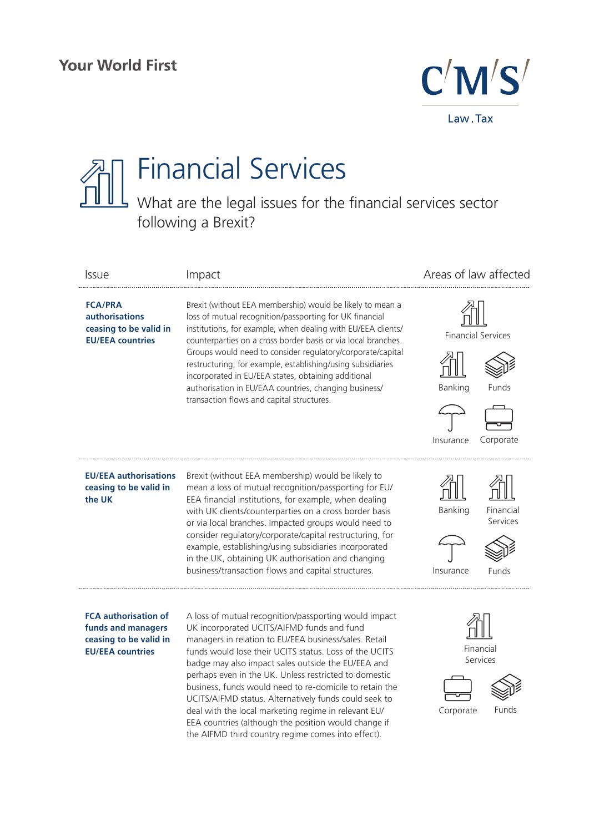

## Financial Services What are the legal issues for the financial services sector following a Brexit?

| <b>Issue</b>                                                                                           | Impact                                                                                                                                                                                                                                                                                                                                                                                                                                                                                                                                                                                                                          | Areas of law affected                                                   |
|--------------------------------------------------------------------------------------------------------|---------------------------------------------------------------------------------------------------------------------------------------------------------------------------------------------------------------------------------------------------------------------------------------------------------------------------------------------------------------------------------------------------------------------------------------------------------------------------------------------------------------------------------------------------------------------------------------------------------------------------------|-------------------------------------------------------------------------|
| <b>FCA/PRA</b><br><b>authorisations</b><br>ceasing to be valid in<br><b>EU/EEA countries</b>           | Brexit (without EEA membership) would be likely to mean a<br>loss of mutual recognition/passporting for UK financial<br>institutions, for example, when dealing with EU/EEA clients/<br>counterparties on a cross border basis or via local branches.<br>Groups would need to consider regulatory/corporate/capital<br>restructuring, for example, establishing/using subsidiaries<br>incorporated in EU/EEA states, obtaining additional<br>authorisation in EU/EAA countries, changing business/<br>transaction flows and capital structures.                                                                                 | <b>Financial Services</b><br>Banking<br>Funds<br>Insurance<br>Corporate |
| <b>EU/EEA authorisations</b><br>ceasing to be valid in<br>the UK                                       | Brexit (without EEA membership) would be likely to<br>mean a loss of mutual recognition/passporting for EU/<br>EEA financial institutions, for example, when dealing<br>with UK clients/counterparties on a cross border basis<br>or via local branches. Impacted groups would need to<br>consider regulatory/corporate/capital restructuring, for<br>example, establishing/using subsidiaries incorporated<br>in the UK, obtaining UK authorisation and changing<br>business/transaction flows and capital structures.                                                                                                         | Banking<br>Financial<br>Services<br>Insurance<br>Funds                  |
| <b>FCA authorisation of</b><br>funds and managers<br>ceasing to be valid in<br><b>EU/EEA countries</b> | A loss of mutual recognition/passporting would impact<br>UK incorporated UCITS/AIFMD funds and fund<br>managers in relation to EU/EEA business/sales. Retail<br>funds would lose their UCITS status. Loss of the UCITS<br>badge may also impact sales outside the EU/EEA and<br>perhaps even in the UK. Unless restricted to domestic<br>business, funds would need to re-domicile to retain the<br>UCITS/AIFMD status. Alternatively funds could seek to<br>deal with the local marketing regime in relevant EU/<br>EEA countries (although the position would change if<br>the AIFMD third country regime comes into effect). | Financial<br>Services<br>Corporate<br>Funds                             |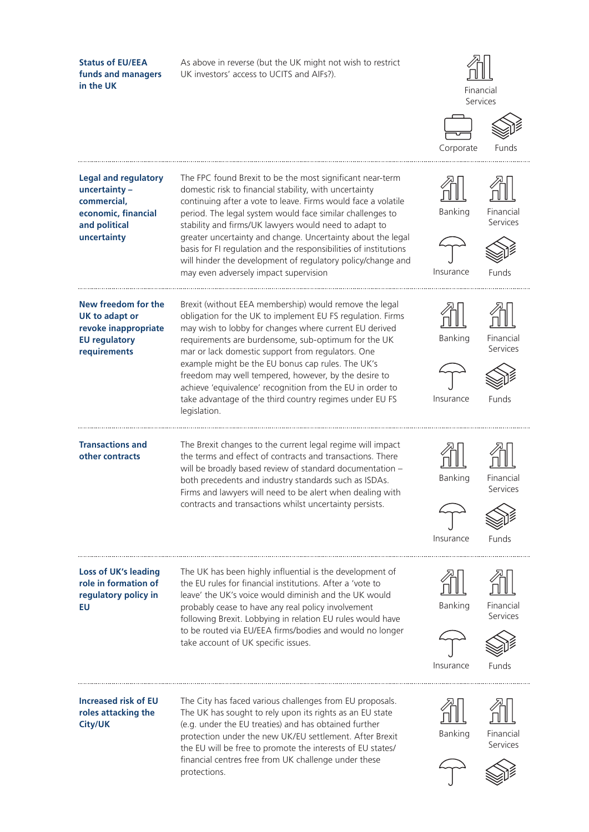**Status of EU/EEA**  As above in reverse (but the UK might not wish to restrict **funds and managers**  UK investors' access to UCITS and AIFs?). **in the UK** Financial Services Corporate Funds**Legal and regulatory**  The FPC found Brexit to be the most significant near-term **uncertainty –**  domestic risk to financial stability, with uncertainty **commercial,**  continuing after a vote to leave. Firms would face a volatile Banking Financial **economic, financial**  period. The legal system would face similar challenges to Services **and political**  stability and firms/UK lawyers would need to adapt to **uncertainty** greater uncertainty and change. Uncertainty about the legal basis for FI regulation and the responsibilities of institutions will hinder the development of regulatory policy/change and may even adversely impact supervision Insurance Funds **New freedom for the**  Brexit (without EEA membership) would remove the legal obligation for the UK to implement EU FS regulation. Firms **UK to adapt or revoke inappropriate**  may wish to lobby for changes where current EU derived **EU regulatory**  requirements are burdensome, sub-optimum for the UK Banking Financial Services **requirements** mar or lack domestic support from regulators. One example might be the EU bonus cap rules. The UK's freedom may well tempered, however, by the desire to achieve 'equivalence' recognition from the EU in order to take advantage of the third country regimes under EU FS Insurance Funds legislation. **Transactions and**  The Brexit changes to the current legal regime will impact **other contracts** the terms and effect of contracts and transactions. There will be broadly based review of standard documentation – both precedents and industry standards such as ISDAs. Banking Financial Services Firms and lawyers will need to be alert when dealing with contracts and transactions whilst uncertainty persists. Insurance Funds ...................... **Loss of UK's leading**  The UK has been highly influential is the development of **role in formation of**  the EU rules for financial institutions. After a 'vote to **regulatory policy in**  leave' the UK's voice would diminish and the UK would Banking Financial **EU** probably cease to have any real policy involvement Services following Brexit. Lobbying in relation EU rules would have to be routed via EU/EEA firms/bodies and would no longer take account of UK specific issues. Insurance Funds The City has faced various challenges from EU proposals. **Increased risk of EU roles attacking the**  The UK has sought to rely upon its rights as an EU state **City/UK** (e.g. under the EU treaties) and has obtained further Banking Financial protection under the new UK/EU settlement. After Brexit Services the EU will be free to promote the interests of EU states/ financial centres free from UK challenge under these protections.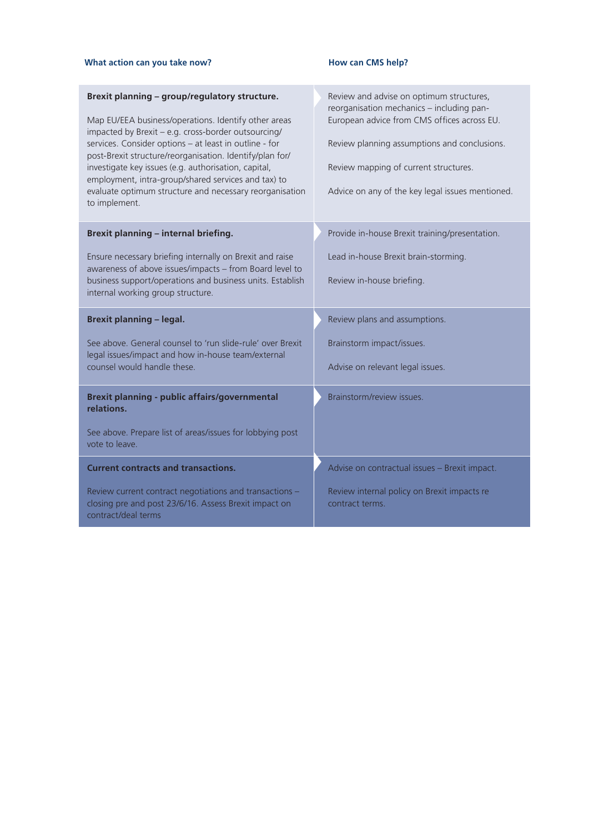#### What action can you take now? **How can CMS help?**

| Brexit planning - group/regulatory structure.<br>Map EU/EEA business/operations. Identify other areas<br>impacted by Brexit - e.g. cross-border outsourcing/<br>services. Consider options - at least in outline - for<br>post-Brexit structure/reorganisation. Identify/plan for/<br>investigate key issues (e.g. authorisation, capital,<br>employment, intra-group/shared services and tax) to<br>evaluate optimum structure and necessary reorganisation<br>to implement. | Review and advise on optimum structures,<br>reorganisation mechanics - including pan-<br>European advice from CMS offices across EU.<br>Review planning assumptions and conclusions.<br>Review mapping of current structures.<br>Advice on any of the key legal issues mentioned. |  |
|-------------------------------------------------------------------------------------------------------------------------------------------------------------------------------------------------------------------------------------------------------------------------------------------------------------------------------------------------------------------------------------------------------------------------------------------------------------------------------|-----------------------------------------------------------------------------------------------------------------------------------------------------------------------------------------------------------------------------------------------------------------------------------|--|
| Brexit planning - internal briefing.                                                                                                                                                                                                                                                                                                                                                                                                                                          | Provide in-house Brexit training/presentation.                                                                                                                                                                                                                                    |  |
| Ensure necessary briefing internally on Brexit and raise                                                                                                                                                                                                                                                                                                                                                                                                                      | Lead in-house Brexit brain-storming.                                                                                                                                                                                                                                              |  |
| awareness of above issues/impacts - from Board level to<br>business support/operations and business units. Establish<br>internal working group structure.                                                                                                                                                                                                                                                                                                                     | Review in-house briefing.                                                                                                                                                                                                                                                         |  |
|                                                                                                                                                                                                                                                                                                                                                                                                                                                                               |                                                                                                                                                                                                                                                                                   |  |
| <b>Brexit planning - legal.</b>                                                                                                                                                                                                                                                                                                                                                                                                                                               | Review plans and assumptions.                                                                                                                                                                                                                                                     |  |
| See above. General counsel to 'run slide-rule' over Brexit                                                                                                                                                                                                                                                                                                                                                                                                                    | Brainstorm impact/issues.                                                                                                                                                                                                                                                         |  |
| legal issues/impact and how in-house team/external<br>counsel would handle these.                                                                                                                                                                                                                                                                                                                                                                                             | Advise on relevant legal issues.                                                                                                                                                                                                                                                  |  |
| <b>Brexit planning - public affairs/governmental</b><br>relations.                                                                                                                                                                                                                                                                                                                                                                                                            | Brainstorm/review issues.                                                                                                                                                                                                                                                         |  |
| See above. Prepare list of areas/issues for lobbying post<br>vote to leave.                                                                                                                                                                                                                                                                                                                                                                                                   |                                                                                                                                                                                                                                                                                   |  |
| <b>Current contracts and transactions.</b>                                                                                                                                                                                                                                                                                                                                                                                                                                    | Advise on contractual issues - Brexit impact.                                                                                                                                                                                                                                     |  |